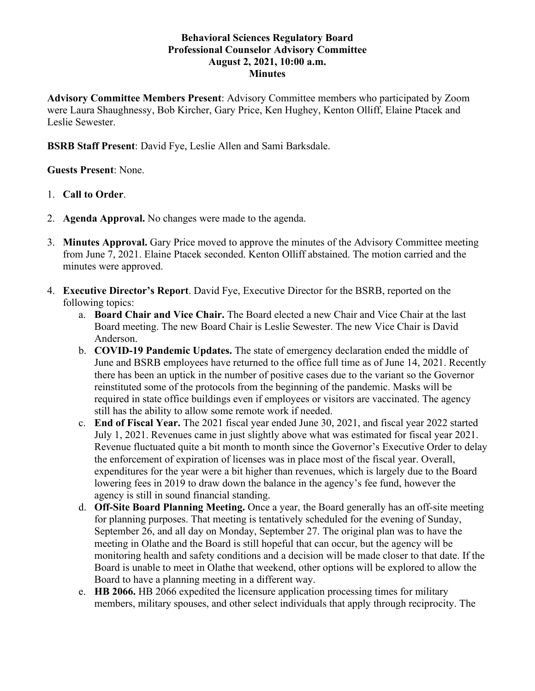## **Behavioral Sciences Regulatory Board Professional Counselor Advisory Committee August 2, 2021, 10:00 a.m. Minutes**

**Advisory Committee Members Present**: Advisory Committee members who participated by Zoom were Laura Shaughnessy, Bob Kircher, Gary Price, Ken Hughey, Kenton Olliff, Elaine Ptacek and Leslie Sewester.

**BSRB Staff Present**: David Fye, Leslie Allen and Sami Barksdale.

# **Guests Present**: None.

- 1. **Call to Order**.
- 2. **Agenda Approval.** No changes were made to the agenda.
- 3. **Minutes Approval.** Gary Price moved to approve the minutes of the Advisory Committee meeting from June 7, 2021. Elaine Ptacek seconded. Kenton Olliff abstained. The motion carried and the minutes were approved.
- 4. **Executive Director's Report**. David Fye, Executive Director for the BSRB, reported on the following topics:
	- a. **Board Chair and Vice Chair.** The Board elected a new Chair and Vice Chair at the last Board meeting. The new Board Chair is Leslie Sewester. The new Vice Chair is David Anderson.
	- b. **COVID-19 Pandemic Updates.** The state of emergency declaration ended the middle of June and BSRB employees have returned to the office full time as of June 14, 2021. Recently there has been an uptick in the number of positive cases due to the variant so the Governor reinstituted some of the protocols from the beginning of the pandemic. Masks will be required in state office buildings even if employees or visitors are vaccinated. The agency still has the ability to allow some remote work if needed.
	- c. **End of Fiscal Year.** The 2021 fiscal year ended June 30, 2021, and fiscal year 2022 started July 1, 2021. Revenues came in just slightly above what was estimated for fiscal year 2021. Revenue fluctuated quite a bit month to month since the Governor's Executive Order to delay the enforcement of expiration of licenses was in place most of the fiscal year. Overall, expenditures for the year were a bit higher than revenues, which is largely due to the Board lowering fees in 2019 to draw down the balance in the agency's fee fund, however the agency is still in sound financial standing.
	- d. **Off-Site Board Planning Meeting.** Once a year, the Board generally has an off-site meeting for planning purposes. That meeting is tentatively scheduled for the evening of Sunday, September 26, and all day on Monday, September 27. The original plan was to have the meeting in Olathe and the Board is still hopeful that can occur, but the agency will be monitoring health and safety conditions and a decision will be made closer to that date. If the Board is unable to meet in Olathe that weekend, other options will be explored to allow the Board to have a planning meeting in a different way.
	- e. **HB 2066.** HB 2066 expedited the licensure application processing times for military members, military spouses, and other select individuals that apply through reciprocity. The